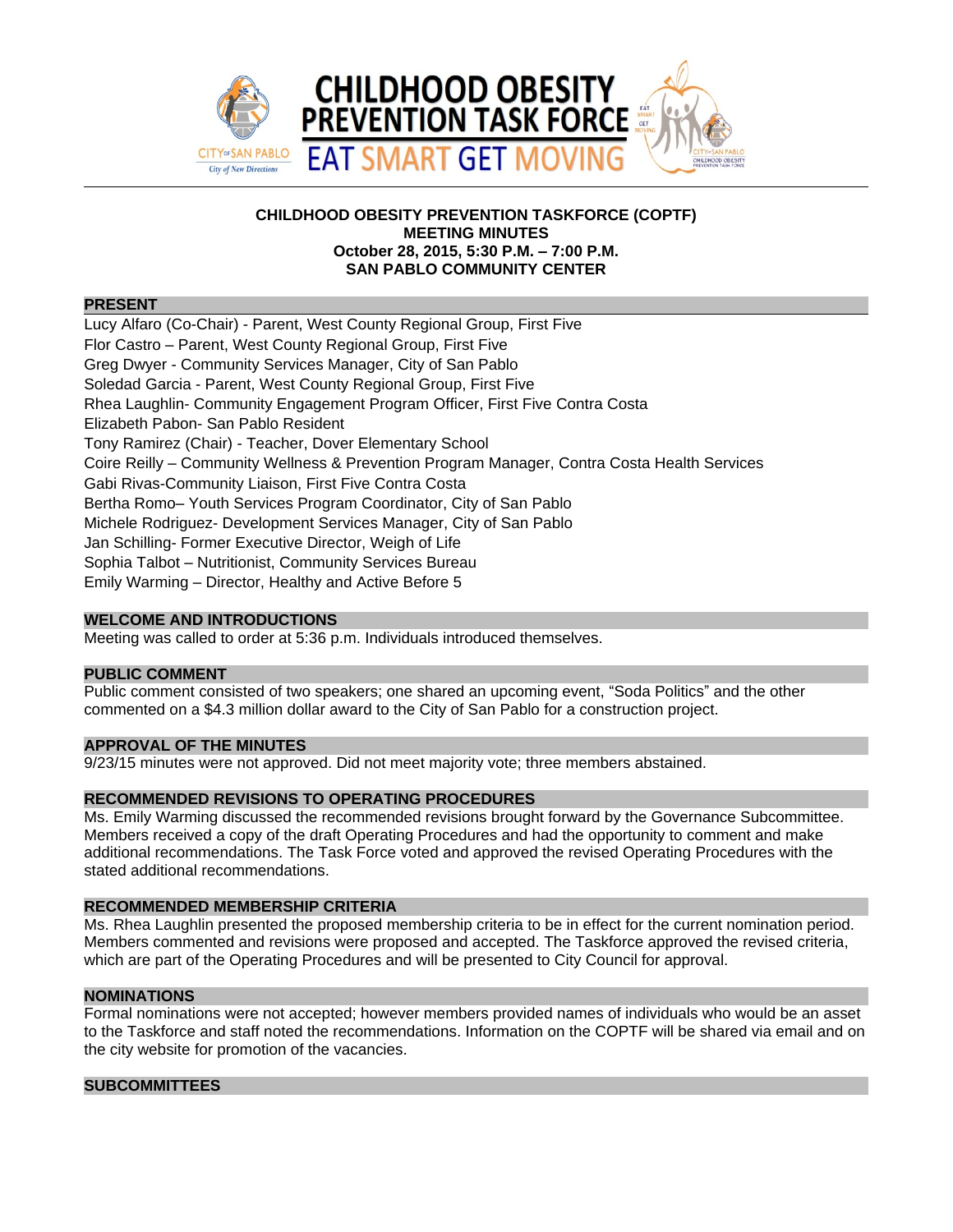

# **CHILDHOOD OBESITY PREVENTION TASKFORCE (COPTF) MEETING MINUTES October 28, 2015, 5:30 P.M. – 7:00 P.M. SAN PABLO COMMUNITY CENTER**

### **PRESENT**

Lucy Alfaro (Co-Chair) - Parent, West County Regional Group, First Five Flor Castro – Parent, West County Regional Group, First Five Greg Dwyer - Community Services Manager, City of San Pablo Soledad Garcia - Parent, West County Regional Group, First Five Rhea Laughlin- Community Engagement Program Officer, First Five Contra Costa Elizabeth Pabon- San Pablo Resident Tony Ramirez (Chair) - Teacher, Dover Elementary School Coire Reilly – Community Wellness & Prevention Program Manager, Contra Costa Health Services Gabi Rivas-Community Liaison, First Five Contra Costa Bertha Romo– Youth Services Program Coordinator, City of San Pablo Michele Rodriguez- Development Services Manager, City of San Pablo Jan Schilling- Former Executive Director, Weigh of Life Sophia Talbot – Nutritionist, Community Services Bureau Emily Warming – Director, Healthy and Active Before 5

## **WELCOME AND INTRODUCTIONS**

Meeting was called to order at 5:36 p.m. Individuals introduced themselves.

## **PUBLIC COMMENT**

Public comment consisted of two speakers; one shared an upcoming event, "Soda Politics" and the other commented on a \$4.3 million dollar award to the City of San Pablo for a construction project.

## **APPROVAL OF THE MINUTES**

9/23/15 minutes were not approved. Did not meet majority vote; three members abstained.

## **RECOMMENDED REVISIONS TO OPERATING PROCEDURES**

Ms. Emily Warming discussed the recommended revisions brought forward by the Governance Subcommittee. Members received a copy of the draft Operating Procedures and had the opportunity to comment and make additional recommendations. The Task Force voted and approved the revised Operating Procedures with the stated additional recommendations.

# **RECOMMENDED MEMBERSHIP CRITERIA**

Ms. Rhea Laughlin presented the proposed membership criteria to be in effect for the current nomination period. Members commented and revisions were proposed and accepted. The Taskforce approved the revised criteria, which are part of the Operating Procedures and will be presented to City Council for approval.

#### **NOMINATIONS**

Formal nominations were not accepted; however members provided names of individuals who would be an asset to the Taskforce and staff noted the recommendations. Information on the COPTF will be shared via email and on the city website for promotion of the vacancies.

### **SUBCOMMITTEES**